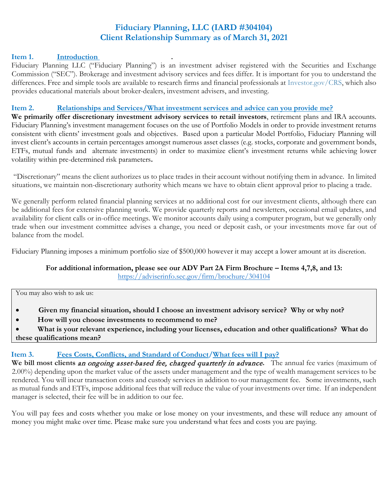# **Fiduciary Planning, LLC (IARD #304104) Client Relationship Summary as of March 31, 2021**

# **Item 1. Introduction .**

Fiduciary Planning LLC ("Fiduciary Planning") is an investment adviser registered with the Securities and Exchange Commission ("SEC"). Brokerage and investment advisory services and fees differ. It is important for you to understand the differences. Free and simple tools are available to research firms and financial professionals at [Investor.gov/CRS,](http://investor.gov/CRS) which also provides educational materials about broker-dealers, investment advisers, and investing.

#### **Item 2. Relationships and Services/What investment services and advice can you provide me?**

**We primarily offer discretionary investment advisory services to retail investors**, retirement plans and IRA accounts. Fiduciary Planning's investment management focuses on the use of Portfolio Models in order to provide investment returns consistent with clients' investment goals and objectives. Based upon a particular Model Portfolio, Fiduciary Planning will invest client's accounts in certain percentages amongst numerous asset classes (e.g. stocks, corporate and government bonds, ETFs, mutual funds and alternate investments) in order to maximize client's investment returns while achieving lower volatility within pre-determined risk parameters**.**

"Discretionary" means the client authorizes us to place trades in their account without notifying them in advance. In limited situations, we maintain non-discretionary authority which means we have to obtain client approval prior to placing a trade.

We generally perform related financial planning services at no additional cost for our investment clients, although there can be additional fees for extensive planning work. We provide quarterly reports and newsletters, occasional email updates, and availability for client calls or in-office meetings. We monitor accounts daily using a computer program, but we generally only trade when our investment committee advises a change, you need or deposit cash, or your investments move far out of balance from the model.

Fiduciary Planning imposes a minimum portfolio size of \$500,000 however it may accept a lower amount at its discretion.

**For additional information, please see our ADV Part 2A Firm Brochure – Items 4,7,8, and 13:**

<https://adviserinfo.sec.gov/firm/brochure/304104>

You may also wish to ask us:

- • **Given my financial situation, should I choose an investment advisory service? Why or why not?**
- **How will you choose investments to recommend to me?**
- **What is your relevant experience, including your licenses, education and other qualifications? What do these qualifications mean?**

# Item 3. **Fees Costs, Conflicts, and Standard of Conduct/What fees will I pay?**

We bill most clients an ongoing asset-based fee, charged quarterly in advance. The annual fee varies (maximum of 2.00%) depending upon the market value of the assets under management and the type of wealth management services to be rendered. You will incur transaction costs and custody services in addition to our management fee. Some investments, such as mutual funds and ETFs, impose additional fees that will reduce the value of your investments over time. If an independent manager is selected, their fee will be in addition to our fee.

You will pay fees and costs whether you make or lose money on your investments, and these will reduce any amount of money you might make over time. Please make sure you understand what fees and costs you are paying.